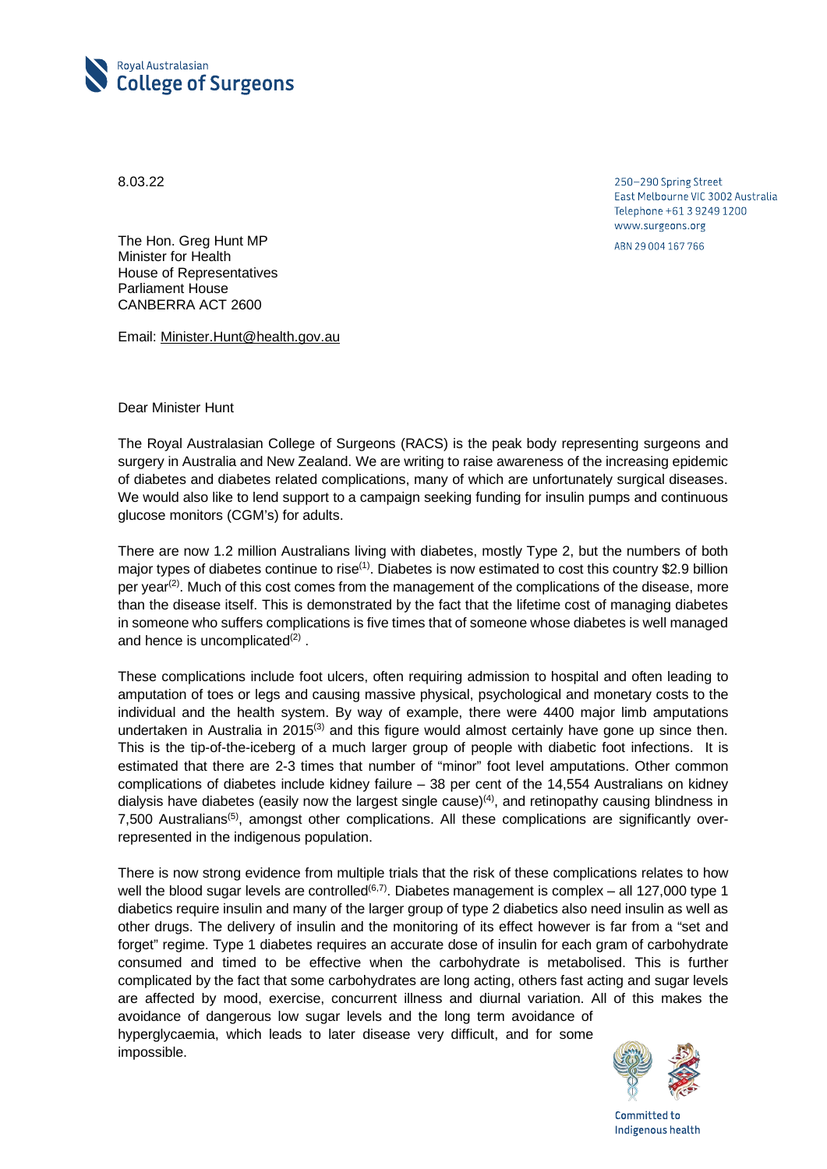

8.03.22

250-290 Spring Street East Melbourne VIC 3002 Australia Telephone +61 3 9249 1200 www.surgeons.org

ABN 29 004 167 766

The Hon. Greg Hunt MP Minister for Health House of Representatives Parliament House CANBERRA ACT 2600

Email: [Minister.Hunt@health.gov.au](mailto:Minister.Hunt@health.gov.au)

Dear Minister Hunt

The Royal Australasian College of Surgeons (RACS) is the peak body representing surgeons and surgery in Australia and New Zealand. We are writing to raise awareness of the increasing epidemic of diabetes and diabetes related complications, many of which are unfortunately surgical diseases. We would also like to lend support to a campaign seeking funding for insulin pumps and continuous glucose monitors (CGM's) for adults.

There are now 1.2 million Australians living with diabetes, mostly Type 2, but the numbers of both major types of diabetes continue to rise<sup>(1)</sup>. Diabetes is now estimated to cost this country \$2.9 billion per year<sup>(2)</sup>. Much of this cost comes from the management of the complications of the disease, more than the disease itself. This is demonstrated by the fact that the lifetime cost of managing diabetes in someone who suffers complications is five times that of someone whose diabetes is well managed and hence is uncomplicated<sup>(2)</sup>.

These complications include foot ulcers, often requiring admission to hospital and often leading to amputation of toes or legs and causing massive physical, psychological and monetary costs to the individual and the health system. By way of example, there were 4400 major limb amputations undertaken in Australia in 2015<sup>(3)</sup> and this figure would almost certainly have gone up since then. This is the tip-of-the-iceberg of a much larger group of people with diabetic foot infections. It is estimated that there are 2-3 times that number of "minor" foot level amputations. Other common complications of diabetes include kidney failure – 38 per cent of the 14,554 Australians on kidney dialysis have diabetes (easily now the largest single cause)<sup>(4)</sup>, and retinopathy causing blindness in 7,500 Australians<sup>(5)</sup>, amongst other complications. All these complications are significantly overrepresented in the indigenous population.

There is now strong evidence from multiple trials that the risk of these complications relates to how well the blood sugar levels are controlled<sup>(6,7)</sup>. Diabetes management is complex – all 127,000 type 1 diabetics require insulin and many of the larger group of type 2 diabetics also need insulin as well as other drugs. The delivery of insulin and the monitoring of its effect however is far from a "set and forget" regime. Type 1 diabetes requires an accurate dose of insulin for each gram of carbohydrate consumed and timed to be effective when the carbohydrate is metabolised. This is further complicated by the fact that some carbohydrates are long acting, others fast acting and sugar levels are affected by mood, exercise, concurrent illness and diurnal variation. All of this makes the avoidance of dangerous low sugar levels and the long term avoidance of hyperglycaemia, which leads to later disease very difficult, and for some impossible.



Committed to Indigenous health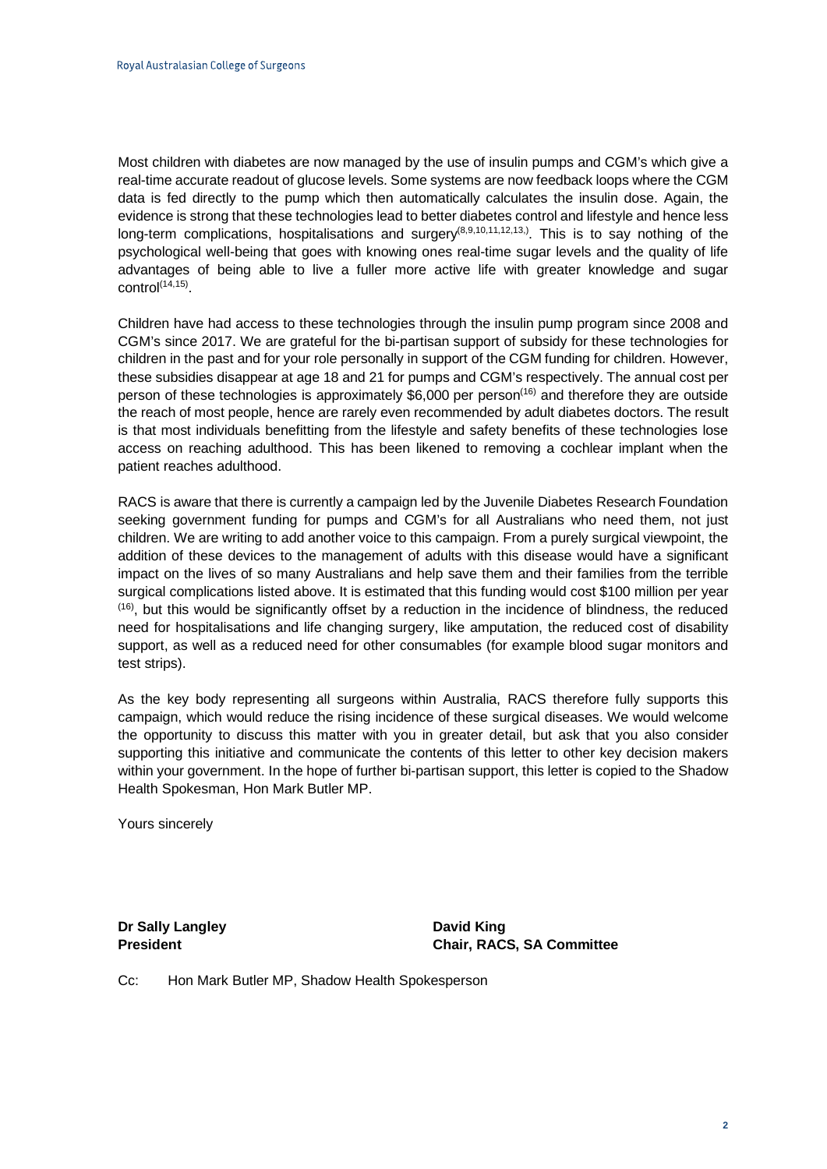Most children with diabetes are now managed by the use of insulin pumps and CGM's which give a real-time accurate readout of glucose levels. Some systems are now feedback loops where the CGM data is fed directly to the pump which then automatically calculates the insulin dose. Again, the evidence is strong that these technologies lead to better diabetes control and lifestyle and hence less long-term complications, hospitalisations and surgery<sup>(8,9,10,11,12,13,)</sup>. This is to say nothing of the psychological well-being that goes with knowing ones real-time sugar levels and the quality of life advantages of being able to live a fuller more active life with greater knowledge and sugar control $(14,15)$ .

Children have had access to these technologies through the insulin pump program since 2008 and CGM's since 2017. We are grateful for the bi-partisan support of subsidy for these technologies for children in the past and for your role personally in support of the CGM funding for children. However, these subsidies disappear at age 18 and 21 for pumps and CGM's respectively. The annual cost per person of these technologies is approximately \$6,000 per person<sup>(16)</sup> and therefore they are outside the reach of most people, hence are rarely even recommended by adult diabetes doctors. The result is that most individuals benefitting from the lifestyle and safety benefits of these technologies lose access on reaching adulthood. This has been likened to removing a cochlear implant when the patient reaches adulthood.

RACS is aware that there is currently a campaign led by the Juvenile Diabetes Research Foundation seeking government funding for pumps and CGM's for all Australians who need them, not just children. We are writing to add another voice to this campaign. From a purely surgical viewpoint, the addition of these devices to the management of adults with this disease would have a significant impact on the lives of so many Australians and help save them and their families from the terrible surgical complications listed above. It is estimated that this funding would cost \$100 million per year  $(16)$ , but this would be significantly offset by a reduction in the incidence of blindness, the reduced need for hospitalisations and life changing surgery, like amputation, the reduced cost of disability support, as well as a reduced need for other consumables (for example blood sugar monitors and test strips).

As the key body representing all surgeons within Australia, RACS therefore fully supports this campaign, which would reduce the rising incidence of these surgical diseases. We would welcome the opportunity to discuss this matter with you in greater detail, but ask that you also consider supporting this initiative and communicate the contents of this letter to other key decision makers within your government. In the hope of further bi-partisan support, this letter is copied to the Shadow Health Spokesman, Hon Mark Butler MP.

Yours sincerely

**Dr Sally Langley <b>David King** 

**President Chair, RACS, SA Committee**

Cc: Hon Mark Butler MP, Shadow Health Spokesperson